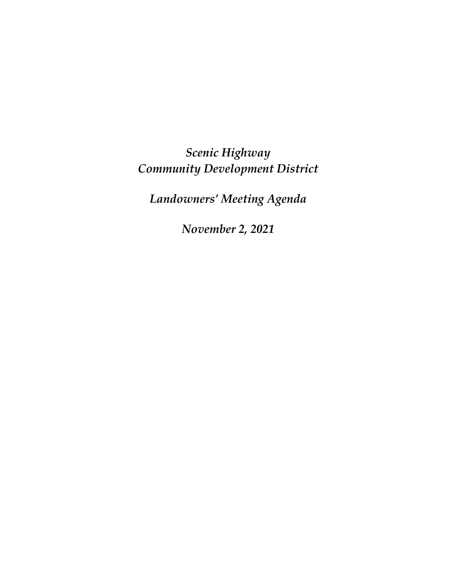*Scenic Highway Community Development District*

*Landowners' Meeting Agenda*

*November 2, 2021*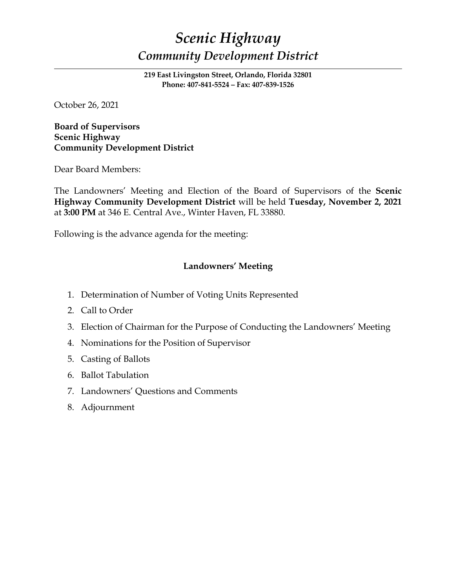# *Scenic Highway Community Development District*

**219 East Livingston Street, Orlando, Florida 32801 Phone: 407-841-5524 – Fax: 407-839-1526**

October 26, 2021

**Board of Supervisors Scenic Highway Community Development District** 

Dear Board Members:

The Landowners' Meeting and Election of the Board of Supervisors of the **Scenic Highway Community Development District** will be held **Tuesday, November 2, 2021** at **3:00 PM** at 346 E. Central Ave., Winter Haven, FL 33880.

Following is the advance agenda for the meeting:

## **Landowners' Meeting**

- 1. Determination of Number of Voting Units Represented
- 2. Call to Order
- 3. Election of Chairman for the Purpose of Conducting the Landowners' Meeting
- 4. Nominations for the Position of Supervisor
- 5. Casting of Ballots
- 6. Ballot Tabulation
- 7. Landowners' Questions and Comments
- 8. Adjournment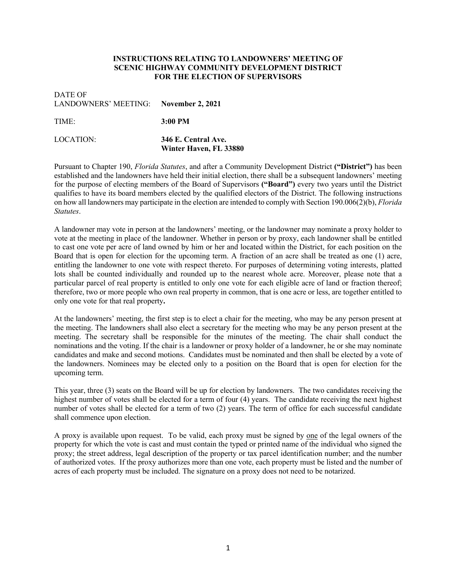#### **INSTRUCTIONS RELATING TO LANDOWNERS' MEETING OF SCENIC HIGHWAY COMMUNITY DEVELOPMENT DISTRICT FOR THE ELECTION OF SUPERVISORS**

### DATE OF LANDOWNERS' MEETING: **November 2, 2021**

TIME: **3:00 PM**

LOCATION: **346 E. Central Ave.**

**Winter Haven, FL 33880**

Pursuant to Chapter 190, *Florida Statutes*, and after a Community Development District **("District")** has been established and the landowners have held their initial election, there shall be a subsequent landowners' meeting for the purpose of electing members of the Board of Supervisors **("Board")** every two years until the District qualifies to have its board members elected by the qualified electors of the District. The following instructions on how all landowners may participate in the election are intended to comply with Section 190.006(2)(b), *Florida Statutes*.

A landowner may vote in person at the landowners' meeting, or the landowner may nominate a proxy holder to vote at the meeting in place of the landowner. Whether in person or by proxy, each landowner shall be entitled to cast one vote per acre of land owned by him or her and located within the District, for each position on the Board that is open for election for the upcoming term. A fraction of an acre shall be treated as one (1) acre, entitling the landowner to one vote with respect thereto. For purposes of determining voting interests, platted lots shall be counted individually and rounded up to the nearest whole acre. Moreover, please note that a particular parcel of real property is entitled to only one vote for each eligible acre of land or fraction thereof; therefore, two or more people who own real property in common, that is one acre or less, are together entitled to only one vote for that real property**.**

At the landowners' meeting, the first step is to elect a chair for the meeting, who may be any person present at the meeting. The landowners shall also elect a secretary for the meeting who may be any person present at the meeting. The secretary shall be responsible for the minutes of the meeting. The chair shall conduct the nominations and the voting. If the chair is a landowner or proxy holder of a landowner, he or she may nominate candidates and make and second motions. Candidates must be nominated and then shall be elected by a vote of the landowners. Nominees may be elected only to a position on the Board that is open for election for the upcoming term.

This year, three (3) seats on the Board will be up for election by landowners. The two candidates receiving the highest number of votes shall be elected for a term of four (4) years. The candidate receiving the next highest number of votes shall be elected for a term of two (2) years. The term of office for each successful candidate shall commence upon election.

A proxy is available upon request. To be valid, each proxy must be signed by one of the legal owners of the property for which the vote is cast and must contain the typed or printed name of the individual who signed the proxy; the street address, legal description of the property or tax parcel identification number; and the number of authorized votes. If the proxy authorizes more than one vote, each property must be listed and the number of acres of each property must be included. The signature on a proxy does not need to be notarized.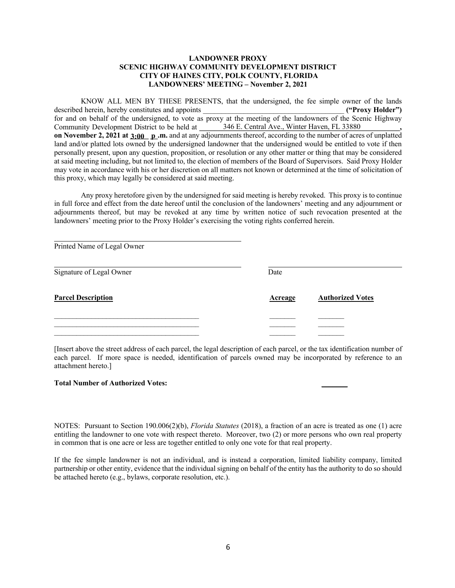#### **LANDOWNER PROXY SCENIC HIGHWAY COMMUNITY DEVELOPMENT DISTRICT CITY OF HAINES CITY, POLK COUNTY, FLORIDA LANDOWNERS' MEETING – November 2, 2021**

KNOW ALL MEN BY THESE PRESENTS, that the undersigned, the fee simple owner of the lands described herein, hereby constitutes and appoints **and appoints ("Proxy Holder")** for and on behalf of the undersigned, to vote as proxy at the meeting of the landowners of the Scenic Highway Community Development District to be held at **on November 2, 2021 at 3:00 p.m.** and at any adjournments thereof, according to the number of acres of unplatted land and/or platted lots owned by the undersigned landowner that the undersigned would be entitled to vote if then personally present, upon any question, proposition, or resolution or any other matter or thing that may be considered at said meeting including, but not limited to, the election of members of the Board of Supervisors. Said Proxy Holder may vote in accordance with his or her discretion on all matters not known or determined at the time of solicitation of this proxy, which may legally be considered at said meeting. 346 E. Central Ave., Winter Haven, FL 33880

Any proxy heretofore given by the undersigned for said meeting is hereby revoked. This proxy is to continue in full force and effect from the date hereof until the conclusion of the landowners' meeting and any adjournment or adjournments thereof, but may be revoked at any time by written notice of such revocation presented at the landowners' meeting prior to the Proxy Holder's exercising the voting rights conferred herein.

| Printed Name of Legal Owner |                |                         |
|-----------------------------|----------------|-------------------------|
| Signature of Legal Owner    | Date           |                         |
| <b>Parcel Description</b>   | <b>Acreage</b> | <b>Authorized Votes</b> |
|                             |                |                         |
|                             |                |                         |
|                             |                |                         |

[Insert above the street address of each parcel, the legal description of each parcel, or the tax identification number of each parcel. If more space is needed, identification of parcels owned may be incorporated by reference to an attachment hereto.]

#### **Total Number of Authorized Votes: \_\_\_\_\_\_\_**

NOTES: Pursuant to Section 190.006(2)(b), *Florida Statutes* (2018), a fraction of an acre is treated as one (1) acre entitling the landowner to one vote with respect thereto. Moreover, two (2) or more persons who own real property in common that is one acre or less are together entitled to only one vote for that real property.

If the fee simple landowner is not an individual, and is instead a corporation, limited liability company, limited partnership or other entity, evidence that the individual signing on behalf of the entity has the authority to do so should be attached hereto (e.g., bylaws, corporate resolution, etc.).